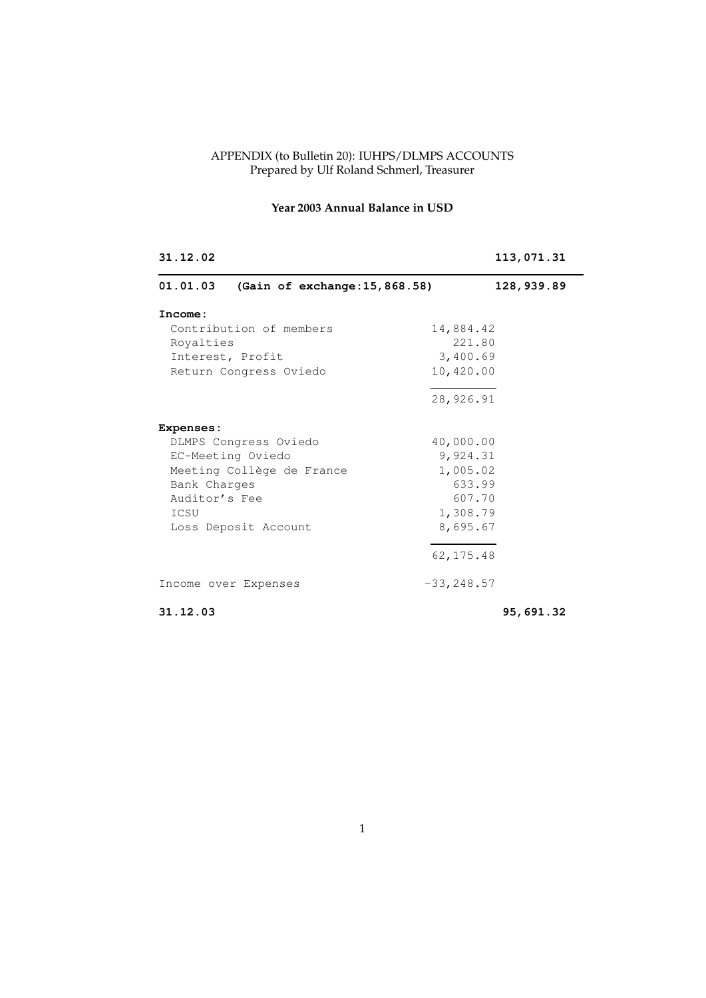#### APPENDIX (to Bulletin 20): IUHPS/DLMPS ACCOUNTS Prepared by Ulf Roland Schmerl, Treasurer

# **Year 2003 Annual Balance in USD**

| 31.12.02                                   | 113,071.31    |
|--------------------------------------------|---------------|
| 01.01.03<br>(Gain of exchange: 15, 868.58) | 128,939.89    |
| Income:                                    |               |
| Contribution of members                    | 14,884.42     |
| Royalties                                  | 221.80        |
| Interest, Profit                           | 3,400.69      |
| Return Congress Oviedo                     | 10,420.00     |
|                                            | 28,926.91     |
| <b>Expenses:</b>                           |               |
| DLMPS Congress Oviedo                      | 40,000.00     |
| EC-Meeting Oviedo                          | 9,924.31      |
| Meeting Collège de France                  | 1,005.02      |
| Bank Charges                               | 633.99        |
| Auditor's Fee                              | 607.70        |
| ICSU                                       | 1,308.79      |
| Loss Deposit Account                       | 8,695.67      |
|                                            | 62, 175.48    |
| Income over Expenses                       | $-33, 248.57$ |
| 31.12.03                                   | 95,691.32     |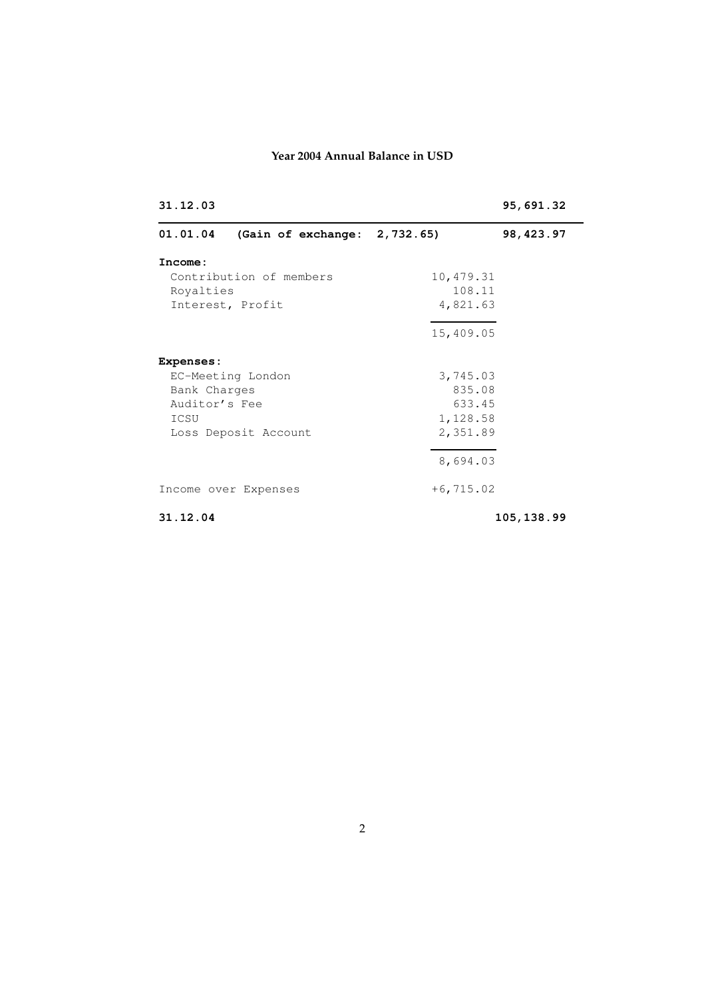## **Year 2004 Annual Balance in USD**

| 31.12.03                |                              |              | 95,691.32  |
|-------------------------|------------------------------|--------------|------------|
| 01.01.04                | (Gain of exchange: 2,732.65) |              | 98, 423.97 |
| Income:                 |                              |              |            |
| Contribution of members |                              | 10,479.31    |            |
| Royalties               |                              | 108.11       |            |
| Interest, Profit        | 4,821.63                     |              |            |
|                         |                              | 15,409.05    |            |
| <b>Expenses:</b>        |                              |              |            |
|                         | EC-Meeting London            | 3,745.03     |            |
| Bank Charges            |                              | 835.08       |            |
| Auditor's Fee           |                              | 633.45       |            |
| ICSU                    |                              | 1,128.58     |            |
|                         | Loss Deposit Account         | 2,351.89     |            |
|                         |                              | 8,694.03     |            |
|                         | Income over Expenses         | $+6, 715.02$ |            |
| 31.12.04                |                              |              | 105,138.99 |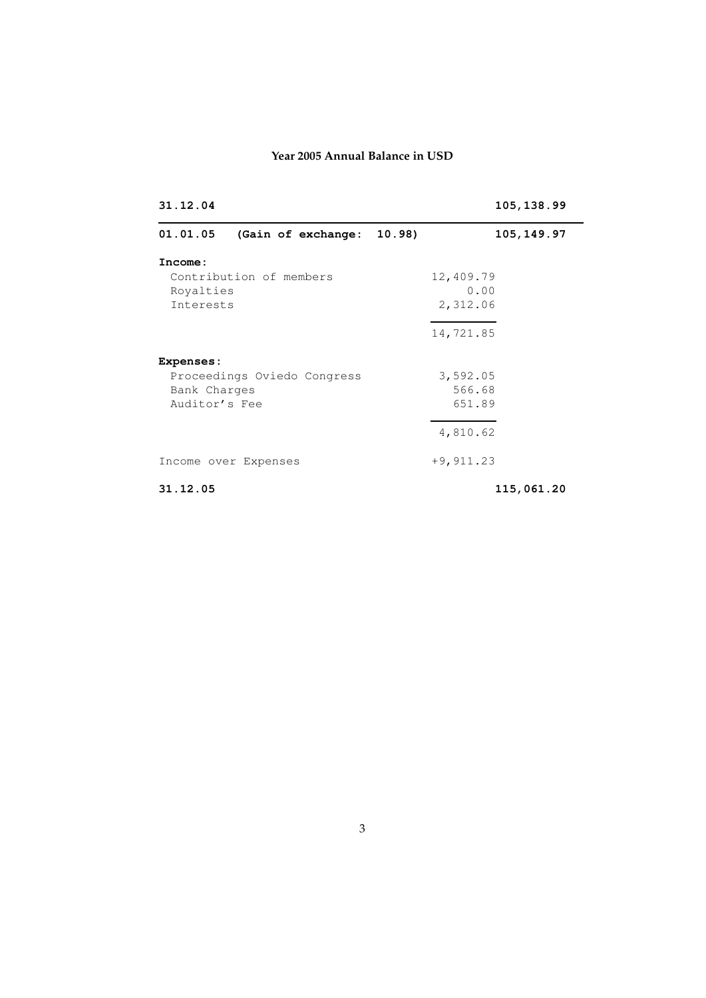## **Year 2005 Annual Balance in USD**

| 31.12.04                |                             | 105,138.99  |  |
|-------------------------|-----------------------------|-------------|--|
| 01.01.05                | (Gain of exchange: 10.98)   | 105, 149.97 |  |
| Income:                 |                             |             |  |
| Contribution of members |                             | 12,409.79   |  |
| Royalties               |                             | 0.00        |  |
| Interests               |                             | 2,312.06    |  |
|                         |                             | 14,721.85   |  |
| <b>Expenses:</b>        |                             |             |  |
|                         | Proceedings Oviedo Congress | 3,592.05    |  |
| Bank Charges            |                             | 566.68      |  |
| Auditor's Fee           |                             | 651.89      |  |
|                         |                             | 4,810.62    |  |
|                         | Income over Expenses        | $+9,911.23$ |  |
| 31.12.05                |                             | 115,061.20  |  |